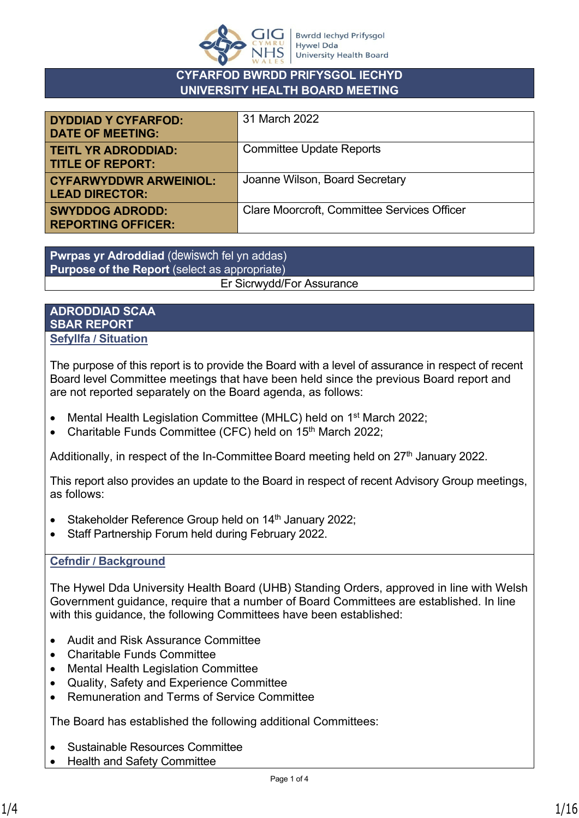

## **CYFARFOD BWRDD PRIFYSGOL IECHYD UNIVERSITY HEALTH BOARD MEETING**

| <b>DYDDIAD Y CYFARFOD:</b><br><b>DATE OF MEETING:</b>  | 31 March 2022                                      |
|--------------------------------------------------------|----------------------------------------------------|
| <b>TEITL YR ADRODDIAD:</b><br><b>TITLE OF REPORT:</b>  | <b>Committee Update Reports</b>                    |
| <b>CYFARWYDDWR ARWEINIOL:</b><br><b>LEAD DIRECTOR:</b> | Joanne Wilson, Board Secretary                     |
| <b>SWYDDOG ADRODD:</b><br><b>REPORTING OFFICER:</b>    | <b>Clare Moorcroft, Committee Services Officer</b> |

**Pwrpas yr Adroddiad** (dewiswch fel yn addas) **Purpose of the Report** (select as appropriate) Er Sicrwydd/For Assurance

## **ADRODDIAD SCAA SBAR REPORT Sefyllfa / Situation**

The purpose of this report is to provide the Board with a level of assurance in respect of recent Board level Committee meetings that have been held since the previous Board report and are not reported separately on the Board agenda, as follows:

- Mental Health Legislation Committee (MHLC) held on 1st March 2022;
- Charitable Funds Committee (CFC) held on 15<sup>th</sup> March 2022;

Additionally, in respect of the In-Committee Board meeting held on  $27<sup>th</sup>$  January 2022.

This report also provides an update to the Board in respect of recent Advisory Group meetings, as follows:

- Stakeholder Reference Group held on  $14<sup>th</sup>$  January 2022;
- Staff Partnership Forum held during February 2022.

## **Cefndir / Background**

The Hywel Dda University Health Board (UHB) Standing Orders, approved in line with Welsh Government guidance, require that a number of Board Committees are established. In line with this guidance, the following Committees have been established:

- Audit and Risk Assurance Committee
- Charitable Funds Committee
- Mental Health Legislation Committee
- Quality, Safety and Experience Committee
- Remuneration and Terms of Service Committee

The Board has established the following additional Committees:

- Sustainable Resources Committee
- Health and Safety Committee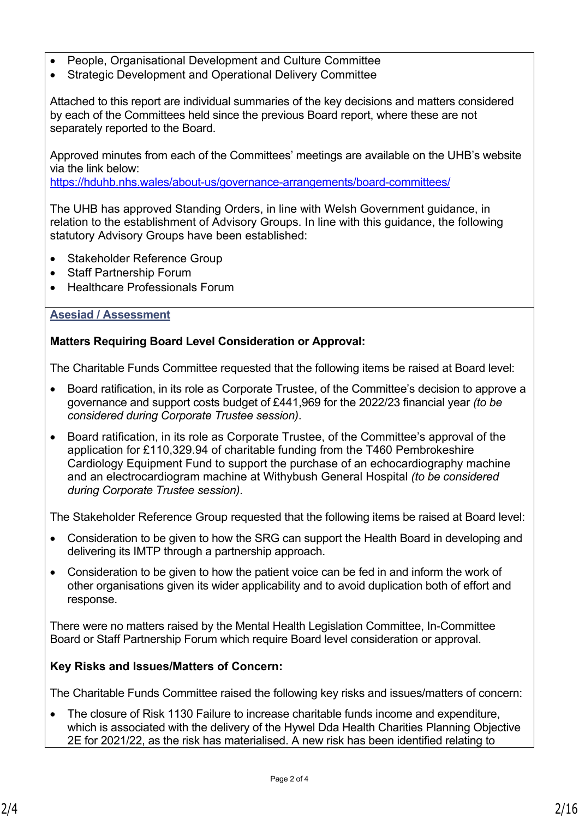- People, Organisational Development and Culture Committee
- Strategic Development and Operational Delivery Committee

Attached to this report are individual summaries of the key decisions and matters considered by each of the Committees held since the previous Board report, where these are not separately reported to the Board.

Approved minutes from each of the Committees' meetings are available on the UHB's website via the link below:

<https://hduhb.nhs.wales/about-us/governance-arrangements/board-committees/>

The UHB has approved Standing Orders, in line with Welsh Government guidance, in relation to the establishment of Advisory Groups. In line with this guidance, the following statutory Advisory Groups have been established:

- Stakeholder Reference Group
- Staff Partnership Forum
- Healthcare Professionals Forum

### **Asesiad / Assessment**

### **Matters Requiring Board Level Consideration or Approval:**

The Charitable Funds Committee requested that the following items be raised at Board level:

- Board ratification, in its role as Corporate Trustee, of the Committee's decision to approve a governance and support costs budget of £441,969 for the 2022/23 financial year *(to be considered during Corporate Trustee session)*.
- Board ratification, in its role as Corporate Trustee, of the Committee's approval of the application for £110,329.94 of charitable funding from the T460 Pembrokeshire Cardiology Equipment Fund to support the purchase of an echocardiography machine and an electrocardiogram machine at Withybush General Hospital *(to be considered during Corporate Trustee session)*.

The Stakeholder Reference Group requested that the following items be raised at Board level:

- Consideration to be given to how the SRG can support the Health Board in developing and delivering its IMTP through a partnership approach.
- Consideration to be given to how the patient voice can be fed in and inform the work of other organisations given its wider applicability and to avoid duplication both of effort and response.

There were no matters raised by the Mental Health Legislation Committee, In-Committee Board or Staff Partnership Forum which require Board level consideration or approval.

### **Key Risks and Issues/Matters of Concern:**

The Charitable Funds Committee raised the following key risks and issues/matters of concern:

 The closure of Risk 1130 Failure to increase charitable funds income and expenditure, which is associated with the delivery of the Hywel Dda Health Charities Planning Objective 2E for 2021/22, as the risk has materialised. A new risk has been identified relating to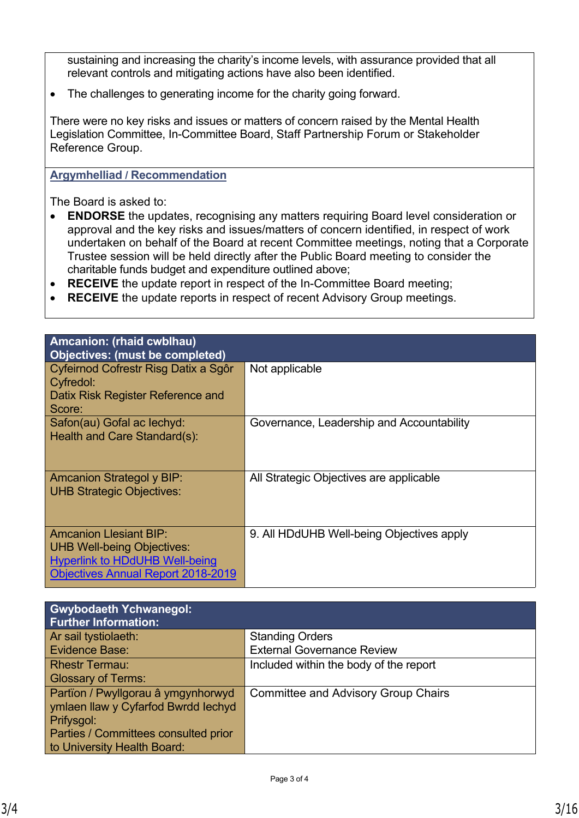sustaining and increasing the charity's income levels, with assurance provided that all relevant controls and mitigating actions have also been identified.

The challenges to generating income for the charity going forward.

There were no key risks and issues or matters of concern raised by the Mental Health Legislation Committee, In-Committee Board, Staff Partnership Forum or Stakeholder Reference Group.

### **Argymhelliad / Recommendation**

The Board is asked to:

- **ENDORSE** the updates, recognising any matters requiring Board level consideration or approval and the key risks and issues/matters of concern identified, in respect of work undertaken on behalf of the Board at recent Committee meetings, noting that a Corporate Trustee session will be held directly after the Public Board meeting to consider the charitable funds budget and expenditure outlined above;
- **RECEIVE** the update report in respect of the In-Committee Board meeting;
- **RECEIVE** the update reports in respect of recent Advisory Group meetings.

| Amcanion: (rhaid cwblhau)<br>Objectives: (must be completed)                                                                                             |                                           |
|----------------------------------------------------------------------------------------------------------------------------------------------------------|-------------------------------------------|
| Cyfeirnod Cofrestr Risg Datix a Sgôr<br><b>Cyfredol:</b><br>Datix Risk Register Reference and<br>Score:                                                  | Not applicable                            |
| Safon(au) Gofal ac lechyd:<br>Health and Care Standard(s):                                                                                               | Governance, Leadership and Accountability |
| <b>Amcanion Strategol y BIP:</b><br><b>UHB Strategic Objectives:</b>                                                                                     | All Strategic Objectives are applicable   |
| <b>Amcanion Llesiant BIP:</b><br><b>UHB Well-being Objectives:</b><br><b>Hyperlink to HDdUHB Well-being</b><br><b>Objectives Annual Report 2018-2019</b> | 9. All HDdUHB Well-being Objectives apply |

| <b>Gwybodaeth Ychwanegol:</b><br><b>Further Information:</b> |                                            |
|--------------------------------------------------------------|--------------------------------------------|
| Ar sail tystiolaeth:                                         | <b>Standing Orders</b>                     |
| Evidence Base:                                               | <b>External Governance Review</b>          |
| <b>Rhestr Termau:</b>                                        | Included within the body of the report     |
| <b>Glossary of Terms:</b>                                    |                                            |
| Partïon / Pwyllgorau â ymgynhorwyd                           | <b>Committee and Advisory Group Chairs</b> |
| ymlaen llaw y Cyfarfod Bwrdd Iechyd                          |                                            |
| Prifysgol:                                                   |                                            |
| Parties / Committees consulted prior                         |                                            |
| to University Health Board:                                  |                                            |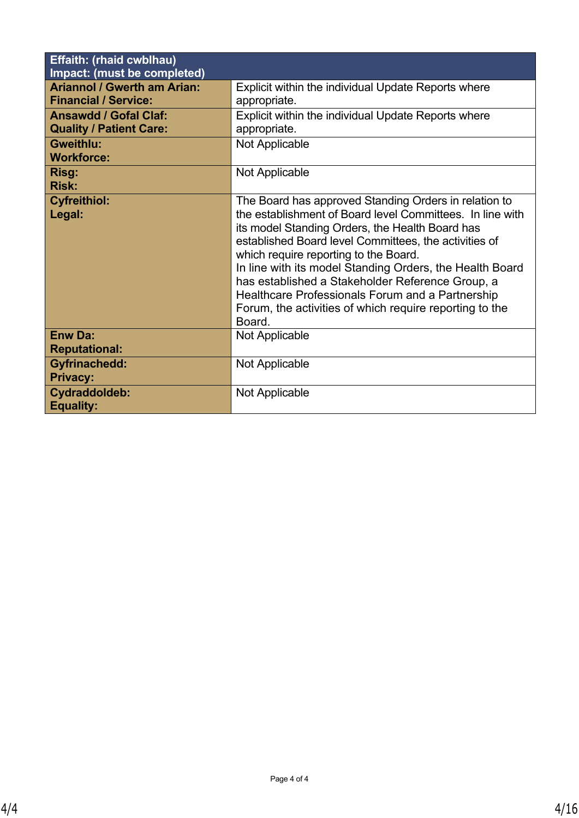| <b>Effaith: (rhaid cwblhau)</b><br>Impact: (must be completed)    |                                                                                                                                                                                                                                                                                                                                                                                                                                                                                                                  |
|-------------------------------------------------------------------|------------------------------------------------------------------------------------------------------------------------------------------------------------------------------------------------------------------------------------------------------------------------------------------------------------------------------------------------------------------------------------------------------------------------------------------------------------------------------------------------------------------|
| <b>Ariannol / Gwerth am Arian:</b><br><b>Financial / Service:</b> | Explicit within the individual Update Reports where<br>appropriate.                                                                                                                                                                                                                                                                                                                                                                                                                                              |
| <b>Ansawdd / Gofal Claf:</b><br><b>Quality / Patient Care:</b>    | Explicit within the individual Update Reports where<br>appropriate.                                                                                                                                                                                                                                                                                                                                                                                                                                              |
| <b>Gweithlu:</b><br><b>Workforce:</b>                             | <b>Not Applicable</b>                                                                                                                                                                                                                                                                                                                                                                                                                                                                                            |
| Risg:<br><b>Risk:</b>                                             | Not Applicable                                                                                                                                                                                                                                                                                                                                                                                                                                                                                                   |
| <b>Cyfreithiol:</b><br>Legal:                                     | The Board has approved Standing Orders in relation to<br>the establishment of Board level Committees. In line with<br>its model Standing Orders, the Health Board has<br>established Board level Committees, the activities of<br>which require reporting to the Board.<br>In line with its model Standing Orders, the Health Board<br>has established a Stakeholder Reference Group, a<br>Healthcare Professionals Forum and a Partnership<br>Forum, the activities of which require reporting to the<br>Board. |
| <b>Enw Da:</b><br><b>Reputational:</b>                            | Not Applicable                                                                                                                                                                                                                                                                                                                                                                                                                                                                                                   |
| <b>Gyfrinachedd:</b><br><b>Privacy:</b>                           | Not Applicable                                                                                                                                                                                                                                                                                                                                                                                                                                                                                                   |
| Cydraddoldeb:<br><b>Equality:</b>                                 | Not Applicable                                                                                                                                                                                                                                                                                                                                                                                                                                                                                                   |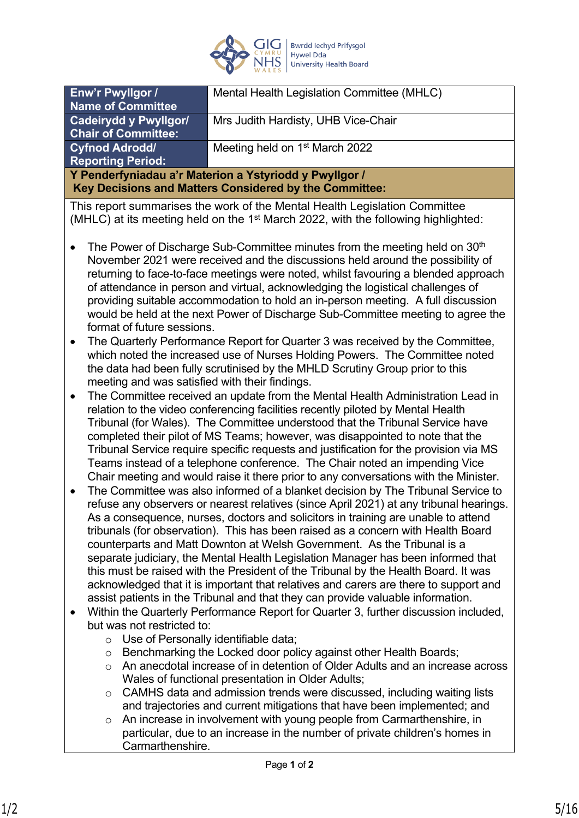

| Enw'r Pwyllgor /<br><b>Name of Committee</b>                                                                     | Mental Health Legislation Committee (MHLC) |
|------------------------------------------------------------------------------------------------------------------|--------------------------------------------|
| <b>Cadeirydd y Pwyllgor/</b><br><b>Chair of Committee:</b>                                                       | Mrs Judith Hardisty, UHB Vice-Chair        |
| <b>Cyfnod Adrodd/</b><br><b>Reporting Period:</b>                                                                | Meeting held on 1 <sup>st</sup> March 2022 |
| Y Penderfyniadau a'r Materion a Ystyriodd y Pwyllgor /<br>Key Decisions and Matters Considered by the Committee: |                                            |

This report summarises the work of the Mental Health Legislation Committee (MHLC) at its meeting held on the 1st March 2022, with the following highlighted:

- The Power of Discharge Sub-Committee minutes from the meeting held on  $30<sup>th</sup>$ November 2021 were received and the discussions held around the possibility of returning to face-to-face meetings were noted, whilst favouring a blended approach of attendance in person and virtual, acknowledging the logistical challenges of providing suitable accommodation to hold an in-person meeting. A full discussion would be held at the next Power of Discharge Sub-Committee meeting to agree the format of future sessions.
- The Quarterly Performance Report for Quarter 3 was received by the Committee, which noted the increased use of Nurses Holding Powers. The Committee noted the data had been fully scrutinised by the MHLD Scrutiny Group prior to this meeting and was satisfied with their findings.
- The Committee received an update from the Mental Health Administration Lead in relation to the video conferencing facilities recently piloted by Mental Health Tribunal (for Wales). The Committee understood that the Tribunal Service have completed their pilot of MS Teams; however, was disappointed to note that the Tribunal Service require specific requests and justification for the provision via MS Teams instead of a telephone conference. The Chair noted an impending Vice Chair meeting and would raise it there prior to any conversations with the Minister.
- The Committee was also informed of a blanket decision by The Tribunal Service to refuse any observers or nearest relatives (since April 2021) at any tribunal hearings. As a consequence, nurses, doctors and solicitors in training are unable to attend tribunals (for observation). This has been raised as a concern with Health Board counterparts and Matt Downton at Welsh Government. As the Tribunal is a separate judiciary, the Mental Health Legislation Manager has been informed that this must be raised with the President of the Tribunal by the Health Board. It was acknowledged that it is important that relatives and carers are there to support and assist patients in the Tribunal and that they can provide valuable information.
- Within the Quarterly Performance Report for Quarter 3, further discussion included, but was not restricted to:
	- o Use of Personally identifiable data;
	- o Benchmarking the Locked door policy against other Health Boards;
	- o An anecdotal increase of in detention of Older Adults and an increase across Wales of functional presentation in Older Adults;
	- o CAMHS data and admission trends were discussed, including waiting lists and trajectories and current mitigations that have been implemented; and
	- o An increase in involvement with young people from Carmarthenshire, in particular, due to an increase in the number of private children's homes in Carmarthenshire.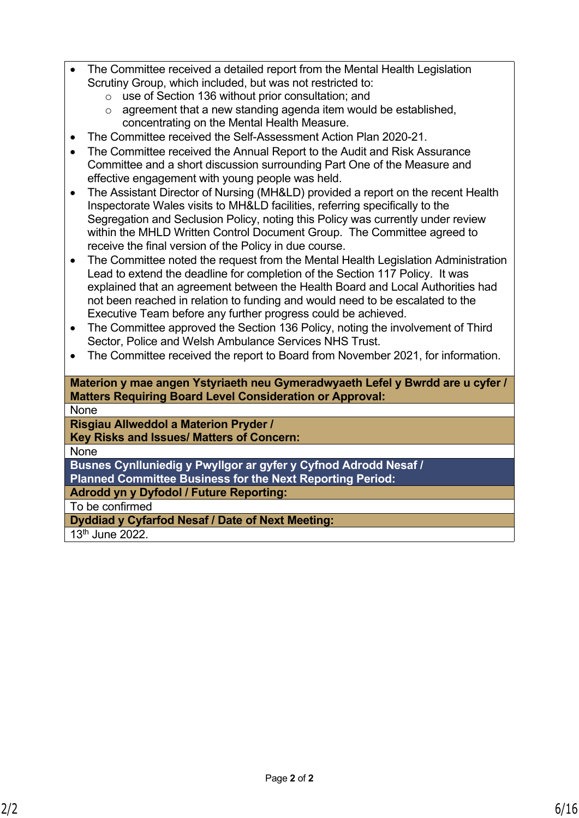| • The Committee received a detailed report from the Mental Health Legislation |
|-------------------------------------------------------------------------------|
| Scrutiny Group, which included, but was not restricted to:                    |

- o use of Section 136 without prior consultation; and
- o agreement that a new standing agenda item would be established, concentrating on the Mental Health Measure.
- The Committee received the Self-Assessment Action Plan 2020-21.
- The Committee received the Annual Report to the Audit and Risk Assurance Committee and a short discussion surrounding Part One of the Measure and effective engagement with young people was held.
- The Assistant Director of Nursing (MH&LD) provided a report on the recent Health Inspectorate Wales visits to MH&LD facilities, referring specifically to the Segregation and Seclusion Policy, noting this Policy was currently under review within the MHLD Written Control Document Group. The Committee agreed to receive the final version of the Policy in due course.
- The Committee noted the request from the Mental Health Legislation Administration Lead to extend the deadline for completion of the Section 117 Policy. It was explained that an agreement between the Health Board and Local Authorities had not been reached in relation to funding and would need to be escalated to the Executive Team before any further progress could be achieved.
- The Committee approved the Section 136 Policy, noting the involvement of Third Sector, Police and Welsh Ambulance Services NHS Trust.
- The Committee received the report to Board from November 2021, for information.

**Materion y mae angen Ystyriaeth neu Gymeradwyaeth Lefel y Bwrdd are u cyfer / Matters Requiring Board Level Consideration or Approval:**

None

**Risgiau Allweddol a Materion Pryder /**

**Key Risks and Issues/ Matters of Concern:**

None

**Busnes Cynlluniedig y Pwyllgor ar gyfer y Cyfnod Adrodd Nesaf / Planned Committee Business for the Next Reporting Period:**

**Adrodd yn y Dyfodol / Future Reporting:**

To be confirmed

**Dyddiad y Cyfarfod Nesaf / Date of Next Meeting:**

13th June 2022.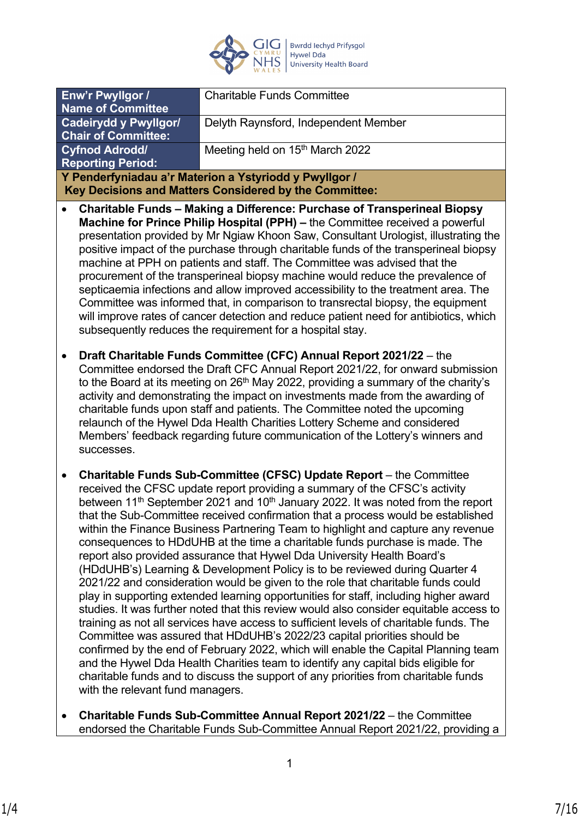

| Enw'r Pwyllgor /<br><b>Name of Committee</b>      | <b>Charitable Funds Committee</b>                                                                                                                                                                                                                                                                                                                                                                                                                                                                                                                                                                                                                                                                                                                                                                                                                                                                                                                                                                                                                                                                                                                                                                                                                                                                                                                                                           |
|---------------------------------------------------|---------------------------------------------------------------------------------------------------------------------------------------------------------------------------------------------------------------------------------------------------------------------------------------------------------------------------------------------------------------------------------------------------------------------------------------------------------------------------------------------------------------------------------------------------------------------------------------------------------------------------------------------------------------------------------------------------------------------------------------------------------------------------------------------------------------------------------------------------------------------------------------------------------------------------------------------------------------------------------------------------------------------------------------------------------------------------------------------------------------------------------------------------------------------------------------------------------------------------------------------------------------------------------------------------------------------------------------------------------------------------------------------|
| <b>Cadeirydd y Pwyllgor/</b>                      | Delyth Raynsford, Independent Member                                                                                                                                                                                                                                                                                                                                                                                                                                                                                                                                                                                                                                                                                                                                                                                                                                                                                                                                                                                                                                                                                                                                                                                                                                                                                                                                                        |
| <b>Chair of Committee:</b>                        |                                                                                                                                                                                                                                                                                                                                                                                                                                                                                                                                                                                                                                                                                                                                                                                                                                                                                                                                                                                                                                                                                                                                                                                                                                                                                                                                                                                             |
| <b>Cyfnod Adrodd/</b><br><b>Reporting Period:</b> | Meeting held on 15 <sup>th</sup> March 2022                                                                                                                                                                                                                                                                                                                                                                                                                                                                                                                                                                                                                                                                                                                                                                                                                                                                                                                                                                                                                                                                                                                                                                                                                                                                                                                                                 |
|                                                   | Y Penderfyniadau a'r Materion a Ystyriodd y Pwyllgor /                                                                                                                                                                                                                                                                                                                                                                                                                                                                                                                                                                                                                                                                                                                                                                                                                                                                                                                                                                                                                                                                                                                                                                                                                                                                                                                                      |
|                                                   | Key Decisions and Matters Considered by the Committee:                                                                                                                                                                                                                                                                                                                                                                                                                                                                                                                                                                                                                                                                                                                                                                                                                                                                                                                                                                                                                                                                                                                                                                                                                                                                                                                                      |
|                                                   | <b>Charitable Funds - Making a Difference: Purchase of Transperineal Biopsy</b><br>Machine for Prince Philip Hospital (PPH) - the Committee received a powerful<br>presentation provided by Mr Ngiaw Khoon Saw, Consultant Urologist, illustrating the<br>positive impact of the purchase through charitable funds of the transperineal biopsy<br>machine at PPH on patients and staff. The Committee was advised that the<br>procurement of the transperineal biopsy machine would reduce the prevalence of<br>septicaemia infections and allow improved accessibility to the treatment area. The<br>Committee was informed that, in comparison to transrectal biopsy, the equipment<br>will improve rates of cancer detection and reduce patient need for antibiotics, which<br>subsequently reduces the requirement for a hospital stay.                                                                                                                                                                                                                                                                                                                                                                                                                                                                                                                                                 |
| $\bullet$<br>successes.                           | Draft Charitable Funds Committee (CFC) Annual Report 2021/22 - the<br>Committee endorsed the Draft CFC Annual Report 2021/22, for onward submission<br>to the Board at its meeting on 26 <sup>th</sup> May 2022, providing a summary of the charity's<br>activity and demonstrating the impact on investments made from the awarding of<br>charitable funds upon staff and patients. The Committee noted the upcoming<br>relaunch of the Hywel Dda Health Charities Lottery Scheme and considered<br>Members' feedback regarding future communication of the Lottery's winners and                                                                                                                                                                                                                                                                                                                                                                                                                                                                                                                                                                                                                                                                                                                                                                                                          |
| $\bullet$<br>with the relevant fund managers.     | Charitable Funds Sub-Committee (CFSC) Update Report - the Committee<br>received the CFSC update report providing a summary of the CFSC's activity<br>between 11 <sup>th</sup> September 2021 and 10 <sup>th</sup> January 2022. It was noted from the report<br>that the Sub-Committee received confirmation that a process would be established<br>within the Finance Business Partnering Team to highlight and capture any revenue<br>consequences to HDdUHB at the time a charitable funds purchase is made. The<br>report also provided assurance that Hywel Dda University Health Board's<br>(HDdUHB's) Learning & Development Policy is to be reviewed during Quarter 4<br>2021/22 and consideration would be given to the role that charitable funds could<br>play in supporting extended learning opportunities for staff, including higher award<br>studies. It was further noted that this review would also consider equitable access to<br>training as not all services have access to sufficient levels of charitable funds. The<br>Committee was assured that HDdUHB's 2022/23 capital priorities should be<br>confirmed by the end of February 2022, which will enable the Capital Planning team<br>and the Hywel Dda Health Charities team to identify any capital bids eligible for<br>charitable funds and to discuss the support of any priorities from charitable funds |

 **Charitable Funds Sub-Committee Annual Report 2021/22** – the Committee endorsed the Charitable Funds Sub-Committee Annual Report 2021/22, providing a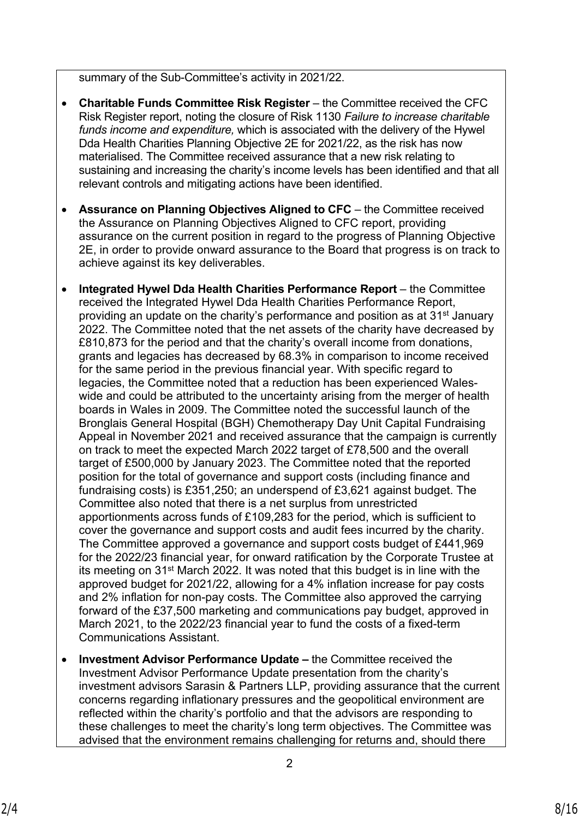summary of the Sub-Committee's activity in 2021/22.

- **Charitable Funds Committee Risk Register** the Committee received the CFC Risk Register report, noting the closure of Risk 1130 *Failure to increase charitable funds income and expenditure,* which is associated with the delivery of the Hywel Dda Health Charities Planning Objective 2E for 2021/22, as the risk has now materialised. The Committee received assurance that a new risk relating to sustaining and increasing the charity's income levels has been identified and that all relevant controls and mitigating actions have been identified.
- **Assurance on Planning Objectives Aligned to CFC** the Committee received the Assurance on Planning Objectives Aligned to CFC report, providing assurance on the current position in regard to the progress of Planning Objective 2E, in order to provide onward assurance to the Board that progress is on track to achieve against its key deliverables.
- **Integrated Hywel Dda Health Charities Performance Report** the Committee received the Integrated Hywel Dda Health Charities Performance Report, providing an update on the charity's performance and position as at 31st January 2022. The Committee noted that the net assets of the charity have decreased by £810,873 for the period and that the charity's overall income from donations, grants and legacies has decreased by 68.3% in comparison to income received for the same period in the previous financial year. With specific regard to legacies, the Committee noted that a reduction has been experienced Waleswide and could be attributed to the uncertainty arising from the merger of health boards in Wales in 2009. The Committee noted the successful launch of the Bronglais General Hospital (BGH) Chemotherapy Day Unit Capital Fundraising Appeal in November 2021 and received assurance that the campaign is currently on track to meet the expected March 2022 target of £78,500 and the overall target of £500,000 by January 2023. The Committee noted that the reported position for the total of governance and support costs (including finance and fundraising costs) is £351,250; an underspend of £3,621 against budget. The Committee also noted that there is a net surplus from unrestricted apportionments across funds of £109,283 for the period, which is sufficient to cover the governance and support costs and audit fees incurred by the charity. The Committee approved a governance and support costs budget of £441,969 for the 2022/23 financial year, for onward ratification by the Corporate Trustee at its meeting on 31st March 2022. It was noted that this budget is in line with the approved budget for 2021/22, allowing for a 4% inflation increase for pay costs and 2% inflation for non-pay costs. The Committee also approved the carrying forward of the £37,500 marketing and communications pay budget, approved in March 2021, to the 2022/23 financial year to fund the costs of a fixed-term Communications Assistant.
- **Investment Advisor Performance Update –** the Committee received the Investment Advisor Performance Update presentation from the charity's investment advisors Sarasin & Partners LLP, providing assurance that the current concerns regarding inflationary pressures and the geopolitical environment are reflected within the charity's portfolio and that the advisors are responding to these challenges to meet the charity's long term objectives. The Committee was advised that the environment remains challenging for returns and, should there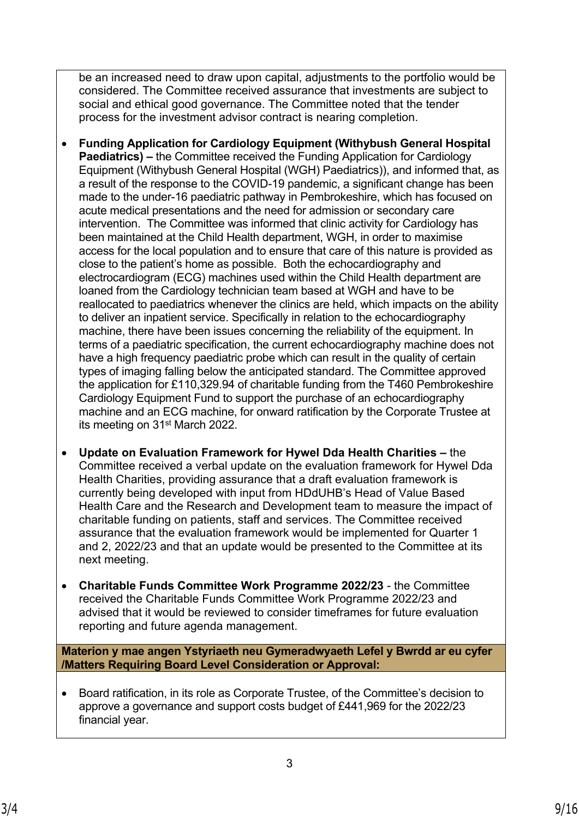be an increased need to draw upon capital, adjustments to the portfolio would be considered. The Committee received assurance that investments are subject to social and ethical good governance. The Committee noted that the tender process for the investment advisor contract is nearing completion.

- **Funding Application for Cardiology Equipment (Withybush General Hospital Paediatrics) –** the Committee received the Funding Application for Cardiology Equipment (Withybush General Hospital (WGH) Paediatrics)), and informed that, as a result of the response to the COVID-19 pandemic, a significant change has been made to the under-16 paediatric pathway in Pembrokeshire, which has focused on acute medical presentations and the need for admission or secondary care intervention. The Committee was informed that clinic activity for Cardiology has been maintained at the Child Health department, WGH, in order to maximise access for the local population and to ensure that care of this nature is provided as close to the patient's home as possible. Both the echocardiography and electrocardiogram (ECG) machines used within the Child Health department are loaned from the Cardiology technician team based at WGH and have to be reallocated to paediatrics whenever the clinics are held, which impacts on the ability to deliver an inpatient service. Specifically in relation to the echocardiography machine, there have been issues concerning the reliability of the equipment. In terms of a paediatric specification, the current echocardiography machine does not have a high frequency paediatric probe which can result in the quality of certain types of imaging falling below the anticipated standard. The Committee approved the application for £110,329.94 of charitable funding from the T460 Pembrokeshire Cardiology Equipment Fund to support the purchase of an echocardiography machine and an ECG machine, for onward ratification by the Corporate Trustee at its meeting on 31st March 2022.
- **Update on Evaluation Framework for Hywel Dda Health Charities** the Committee received a verbal update on the evaluation framework for Hywel Dda Health Charities, providing assurance that a draft evaluation framework is currently being developed with input from HDdUHB's Head of Value Based Health Care and the Research and Development team to measure the impact of charitable funding on patients, staff and services. The Committee received assurance that the evaluation framework would be implemented for Quarter 1 and 2, 2022/23 and that an update would be presented to the Committee at its next meeting.
- **Charitable Funds Committee Work Programme 2022/23** the Committee received the Charitable Funds Committee Work Programme 2022/23 and advised that it would be reviewed to consider timeframes for future evaluation reporting and future agenda management.

**Materion y mae angen Ystyriaeth neu Gymeradwyaeth Lefel y Bwrdd ar eu cyfer /Matters Requiring Board Level Consideration or Approval:**

 Board ratification, in its role as Corporate Trustee, of the Committee's decision to approve a governance and support costs budget of £441,969 for the 2022/23 financial year.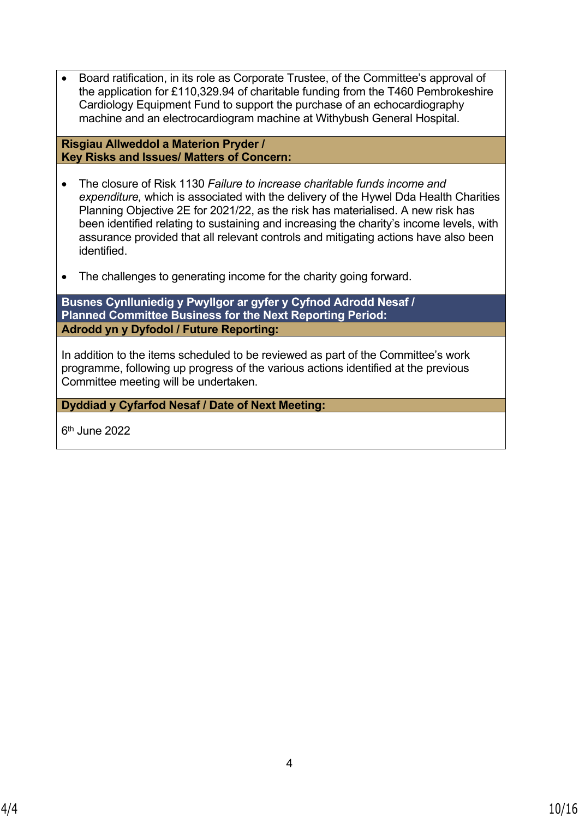Board ratification, in its role as Corporate Trustee, of the Committee's approval of the application for £110,329.94 of charitable funding from the T460 Pembrokeshire Cardiology Equipment Fund to support the purchase of an echocardiography machine and an electrocardiogram machine at Withybush General Hospital.

**Risgiau Allweddol a Materion Pryder / Key Risks and Issues/ Matters of Concern:**

- The closure of Risk 1130 *Failure to increase charitable funds income and expenditure,* which is associated with the delivery of the Hywel Dda Health Charities Planning Objective 2E for 2021/22, as the risk has materialised. A new risk has been identified relating to sustaining and increasing the charity's income levels, with assurance provided that all relevant controls and mitigating actions have also been identified.
- The challenges to generating income for the charity going forward.

**Busnes Cynlluniedig y Pwyllgor ar gyfer y Cyfnod Adrodd Nesaf / Planned Committee Business for the Next Reporting Period: Adrodd yn y Dyfodol / Future Reporting:**

In addition to the items scheduled to be reviewed as part of the Committee's work programme, following up progress of the various actions identified at the previous Committee meeting will be undertaken.

**Dyddiad y Cyfarfod Nesaf / Date of Next Meeting:**

6 th June 2022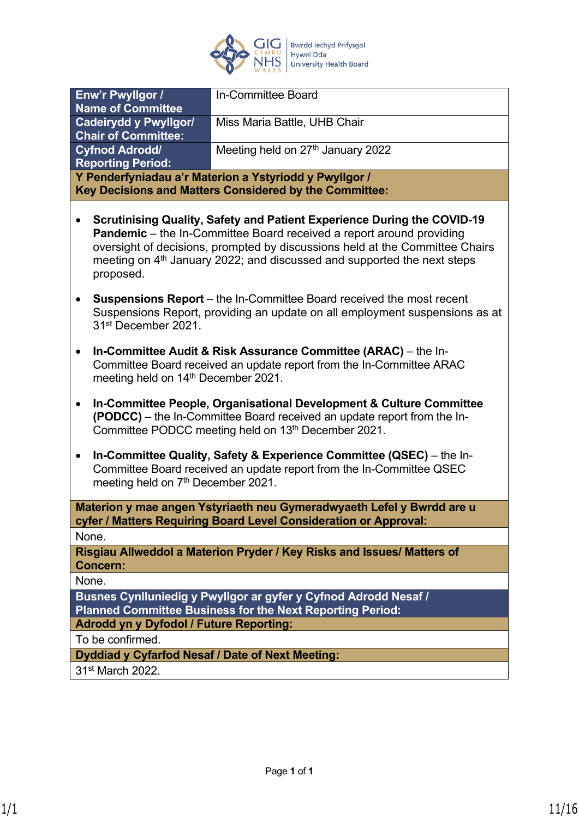

| Enw'r Pwyllgor /<br><b>Name of Committee</b>                                                                                                                                                  | In-Committee Board                                                                                                                                                                                                                                                                                                                   |
|-----------------------------------------------------------------------------------------------------------------------------------------------------------------------------------------------|--------------------------------------------------------------------------------------------------------------------------------------------------------------------------------------------------------------------------------------------------------------------------------------------------------------------------------------|
| <b>Cadeirydd y Pwyllgor/</b><br><b>Chair of Committee:</b>                                                                                                                                    | Miss Maria Battle, UHB Chair                                                                                                                                                                                                                                                                                                         |
| <b>Cyfnod Adrodd/</b><br><b>Reporting Period:</b>                                                                                                                                             | Meeting held on 27th January 2022                                                                                                                                                                                                                                                                                                    |
|                                                                                                                                                                                               | Y Penderfyniadau a'r Materion a Ystyriodd y Pwyllgor /<br>Key Decisions and Matters Considered by the Committee:                                                                                                                                                                                                                     |
| proposed.                                                                                                                                                                                     | <b>Scrutinising Quality, Safety and Patient Experience During the COVID-19</b><br><b>Pandemic</b> – the In-Committee Board received a report around providing<br>oversight of decisions, prompted by discussions held at the Committee Chairs<br>meeting on 4 <sup>th</sup> January 2022; and discussed and supported the next steps |
| <b>Suspensions Report</b> – the In-Committee Board received the most recent<br>Suspensions Report, providing an update on all employment suspensions as at<br>31 <sup>st</sup> December 2021. |                                                                                                                                                                                                                                                                                                                                      |
| $\bullet$<br>meeting held on 14th December 2021.                                                                                                                                              | In-Committee Audit & Risk Assurance Committee (ARAC) - the In-<br>Committee Board received an update report from the In-Committee ARAC                                                                                                                                                                                               |
| $\bullet$                                                                                                                                                                                     | In-Committee People, Organisational Development & Culture Committee<br>(PODCC) – the In-Committee Board received an update report from the In-<br>Committee PODCC meeting held on 13th December 2021.                                                                                                                                |
| $\bullet$<br>meeting held on 7th December 2021.                                                                                                                                               | In-Committee Quality, Safety & Experience Committee (QSEC) – the In-<br>Committee Board received an update report from the In-Committee QSEC                                                                                                                                                                                         |
|                                                                                                                                                                                               | Materion y mae angen Ystyriaeth neu Gymeradwyaeth Lefel y Bwrdd are u<br>cyfer / Matters Requiring Board Level Consideration or Approval:                                                                                                                                                                                            |
| None.                                                                                                                                                                                         |                                                                                                                                                                                                                                                                                                                                      |
| <b>Concern:</b>                                                                                                                                                                               | Risgiau Allweddol a Materion Pryder / Key Risks and Issues/ Matters of                                                                                                                                                                                                                                                               |
| None.                                                                                                                                                                                         |                                                                                                                                                                                                                                                                                                                                      |
|                                                                                                                                                                                               | Busnes Cynlluniedig y Pwyllgor ar gyfer y Cyfnod Adrodd Nesaf /<br><b>Planned Committee Business for the Next Reporting Period:</b>                                                                                                                                                                                                  |
| <b>Adrodd yn y Dyfodol / Future Reporting:</b>                                                                                                                                                |                                                                                                                                                                                                                                                                                                                                      |
| To be confirmed.                                                                                                                                                                              |                                                                                                                                                                                                                                                                                                                                      |
| Dyddiad y Cyfarfod Nesaf / Date of Next Meeting:                                                                                                                                              |                                                                                                                                                                                                                                                                                                                                      |
| 31 <sup>st</sup> March 2022.                                                                                                                                                                  |                                                                                                                                                                                                                                                                                                                                      |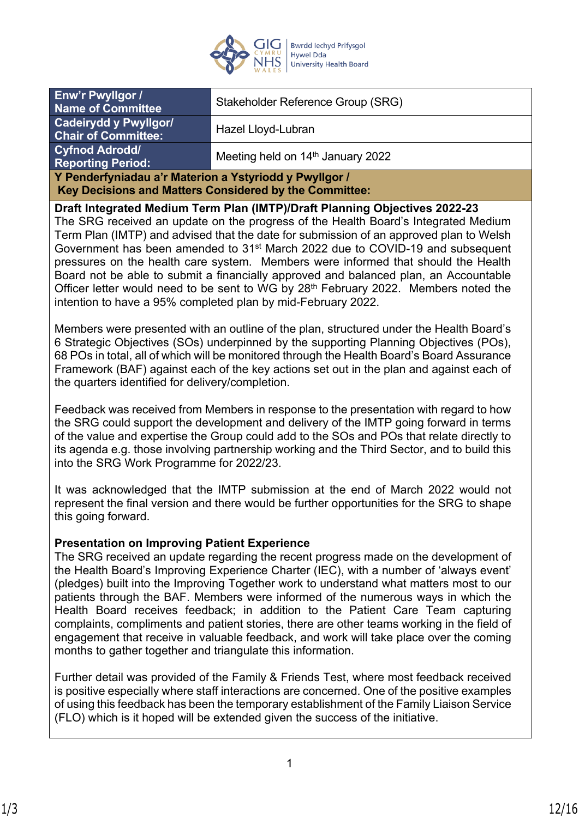

| Enw'r Pwyllgor /<br><b>Name of Committee</b>                                                                     | Stakeholder Reference Group (SRG)                                          |
|------------------------------------------------------------------------------------------------------------------|----------------------------------------------------------------------------|
| Cadeirydd y Pwyllgor/<br><b>Chair of Committee:</b>                                                              | Hazel Lloyd-Lubran                                                         |
| <b>Cyfnod Adrodd/</b><br><b>Reporting Period:</b>                                                                | Meeting held on 14 <sup>th</sup> January 2022                              |
| Y Penderfyniadau a'r Materion a Ystyriodd y Pwyllgor /<br>Key Decisions and Matters Considered by the Committee: |                                                                            |
|                                                                                                                  | Draft Integrated Medium Term Plan (IMTP)/Draft Planning Objectives 2022-23 |

The SRG received an update on the progress of the Health Board's Integrated Medium Term Plan (IMTP) and advised that the date for submission of an approved plan to Welsh Government has been amended to 31st March 2022 due to COVID-19 and subsequent pressures on the health care system. Members were informed that should the Health Board not be able to submit a financially approved and balanced plan, an Accountable Officer letter would need to be sent to WG by  $28<sup>th</sup>$  February 2022. Members noted the intention to have a 95% completed plan by mid-February 2022.

Members were presented with an outline of the plan, structured under the Health Board's 6 Strategic Objectives (SOs) underpinned by the supporting Planning Objectives (POs), 68 POs in total, all of which will be monitored through the Health Board's Board Assurance Framework (BAF) against each of the key actions set out in the plan and against each of the quarters identified for delivery/completion.

Feedback was received from Members in response to the presentation with regard to how the SRG could support the development and delivery of the IMTP going forward in terms of the value and expertise the Group could add to the SOs and POs that relate directly to its agenda e.g. those involving partnership working and the Third Sector, and to build this into the SRG Work Programme for 2022/23.

It was acknowledged that the IMTP submission at the end of March 2022 would not represent the final version and there would be further opportunities for the SRG to shape this going forward.

### **Presentation on Improving Patient Experience**

The SRG received an update regarding the recent progress made on the development of the Health Board's Improving Experience Charter (IEC), with a number of 'always event' (pledges) built into the Improving Together work to understand what matters most to our patients through the BAF. Members were informed of the numerous ways in which the Health Board receives feedback; in addition to the Patient Care Team capturing complaints, compliments and patient stories, there are other teams working in the field of engagement that receive in valuable feedback, and work will take place over the coming months to gather together and triangulate this information.

Further detail was provided of the Family & Friends Test, where most feedback received is positive especially where staff interactions are concerned. One of the positive examples of using this feedback has been the temporary establishment of the Family Liaison Service (FLO) which is it hoped will be extended given the success of the initiative.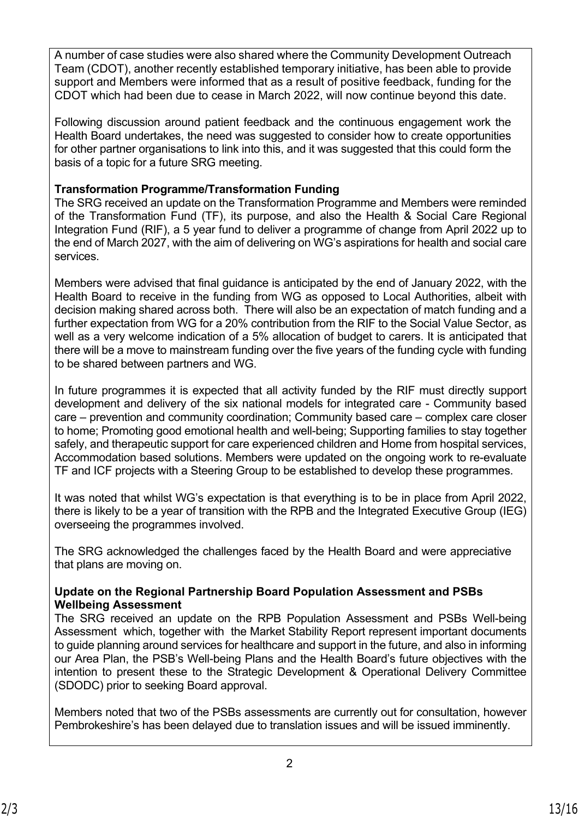A number of case studies were also shared where the Community Development Outreach Team (CDOT), another recently established temporary initiative, has been able to provide support and Members were informed that as a result of positive feedback, funding for the CDOT which had been due to cease in March 2022, will now continue beyond this date.

Following discussion around patient feedback and the continuous engagement work the Health Board undertakes, the need was suggested to consider how to create opportunities for other partner organisations to link into this, and it was suggested that this could form the basis of a topic for a future SRG meeting.

# **Transformation Programme/Transformation Funding**

The SRG received an update on the Transformation Programme and Members were reminded of the Transformation Fund (TF), its purpose, and also the Health & Social Care Regional Integration Fund (RIF), a 5 year fund to deliver a programme of change from April 2022 up to the end of March 2027, with the aim of delivering on WG's aspirations for health and social care services.

Members were advised that final guidance is anticipated by the end of January 2022, with the Health Board to receive in the funding from WG as opposed to Local Authorities, albeit with decision making shared across both. There will also be an expectation of match funding and a further expectation from WG for a 20% contribution from the RIF to the Social Value Sector, as well as a very welcome indication of a 5% allocation of budget to carers. It is anticipated that there will be a move to mainstream funding over the five years of the funding cycle with funding to be shared between partners and WG.

In future programmes it is expected that all activity funded by the RIF must directly support development and delivery of the six national models for integrated care - Community based care – prevention and community coordination; Community based care – complex care closer to home; Promoting good emotional health and well-being; Supporting families to stay together safely, and therapeutic support for care experienced children and Home from hospital services, Accommodation based solutions. Members were updated on the ongoing work to re-evaluate TF and ICF projects with a Steering Group to be established to develop these programmes.

It was noted that whilst WG's expectation is that everything is to be in place from April 2022, there is likely to be a year of transition with the RPB and the Integrated Executive Group (IEG) overseeing the programmes involved.

The SRG acknowledged the challenges faced by the Health Board and were appreciative that plans are moving on.

## **Update on the Regional Partnership Board Population Assessment and PSBs Wellbeing Assessment**

The SRG received an update on the RPB Population Assessment and PSBs Well-being Assessment which, together with the Market Stability Report represent important documents to guide planning around services for healthcare and support in the future, and also in informing our Area Plan, the PSB's Well-being Plans and the Health Board's future objectives with the intention to present these to the Strategic Development & Operational Delivery Committee (SDODC) prior to seeking Board approval.

Members noted that two of the PSBs assessments are currently out for consultation, however Pembrokeshire's has been delayed due to translation issues and will be issued imminently.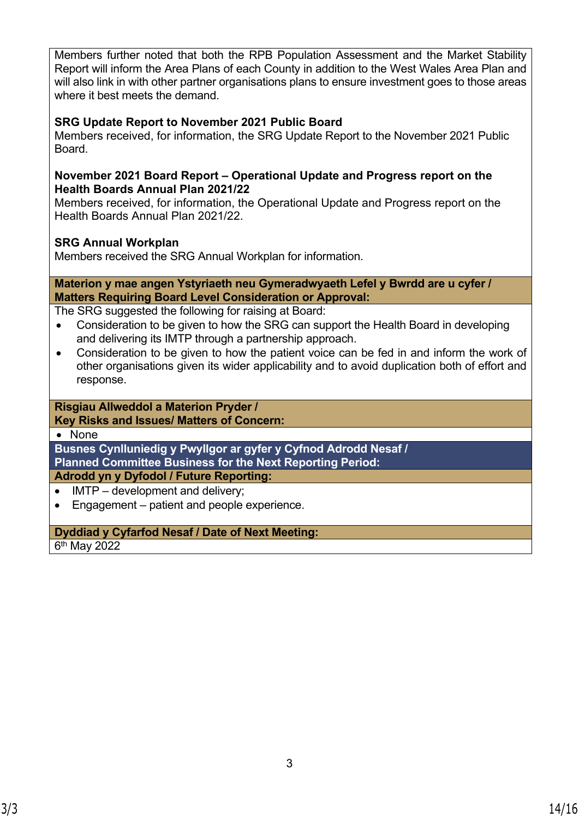Members further noted that both the RPB Population Assessment and the Market Stability Report will inform the Area Plans of each County in addition to the West Wales Area Plan and will also link in with other partner organisations plans to ensure investment goes to those areas where it best meets the demand.

## **SRG Update Report to November 2021 Public Board**

Members received, for information, the SRG Update Report to the November 2021 Public Board.

### **November 2021 Board Report – Operational Update and Progress report on the Health Boards Annual Plan 2021/22**

Members received, for information, the Operational Update and Progress report on the Health Boards Annual Plan 2021/22.

## **SRG Annual Workplan**

Members received the SRG Annual Workplan for information.

### **Materion y mae angen Ystyriaeth neu Gymeradwyaeth Lefel y Bwrdd are u cyfer / Matters Requiring Board Level Consideration or Approval:**

The SRG suggested the following for raising at Board:

- Consideration to be given to how the SRG can support the Health Board in developing and delivering its IMTP through a partnership approach.
- Consideration to be given to how the patient voice can be fed in and inform the work of other organisations given its wider applicability and to avoid duplication both of effort and response.

#### **Risgiau Allweddol a Materion Pryder / Key Risks and Issues/ Matters of Concern:**

• None

**Busnes Cynlluniedig y Pwyllgor ar gyfer y Cyfnod Adrodd Nesaf / Planned Committee Business for the Next Reporting Period:**

**Adrodd yn y Dyfodol / Future Reporting:**

- IMTP development and delivery:
- Engagement patient and people experience.

## **Dyddiad y Cyfarfod Nesaf / Date of Next Meeting:**

6<sup>th</sup> May 2022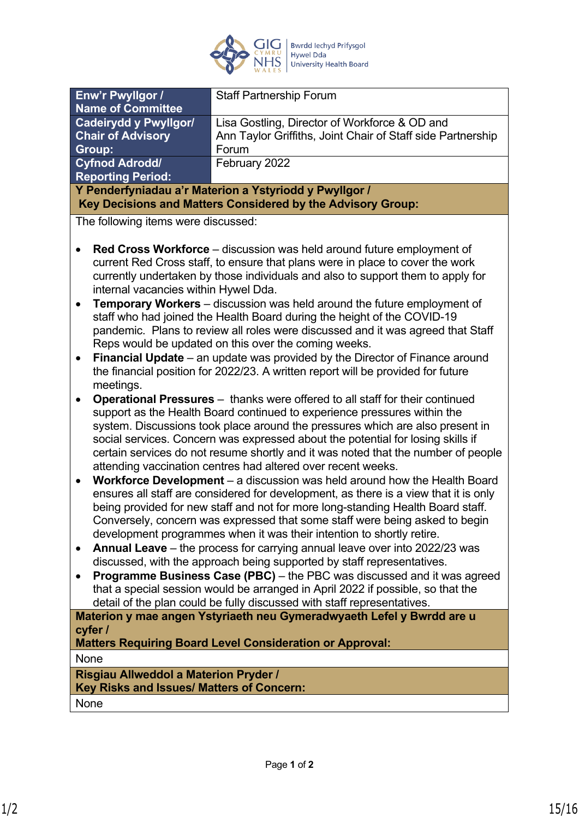

| Enw'r Pwyllgor /<br><b>Staff Partnership Forum</b><br><b>Name of Committee</b><br><b>Cadeirydd y Pwyllgor/</b><br>Lisa Gostling, Director of Workforce & OD and |
|-----------------------------------------------------------------------------------------------------------------------------------------------------------------|
|                                                                                                                                                                 |
|                                                                                                                                                                 |
|                                                                                                                                                                 |
| Ann Taylor Griffiths, Joint Chair of Staff side Partnership<br><b>Chair of Advisory</b>                                                                         |
| Group:<br>Forum                                                                                                                                                 |
| <b>Cyfnod Adrodd/</b><br>February 2022                                                                                                                          |
| <b>Reporting Period:</b>                                                                                                                                        |
| Y Penderfyniadau a'r Materion a Ystyriodd y Pwyllgor /                                                                                                          |
| Key Decisions and Matters Considered by the Advisory Group:                                                                                                     |
| The following items were discussed:                                                                                                                             |
| Red Cross Workforce - discussion was held around future employment of                                                                                           |
| current Red Cross staff, to ensure that plans were in place to cover the work                                                                                   |
| currently undertaken by those individuals and also to support them to apply for                                                                                 |
| internal vacancies within Hywel Dda.                                                                                                                            |
| <b>Temporary Workers</b> – discussion was held around the future employment of<br>$\bullet$                                                                     |
| staff who had joined the Health Board during the height of the COVID-19                                                                                         |
| pandemic. Plans to review all roles were discussed and it was agreed that Staff                                                                                 |
| Reps would be updated on this over the coming weeks.                                                                                                            |
| Financial Update - an update was provided by the Director of Finance around<br>$\bullet$                                                                        |
| the financial position for 2022/23. A written report will be provided for future                                                                                |
| meetings.                                                                                                                                                       |
| <b>Operational Pressures</b> – thanks were offered to all staff for their continued                                                                             |
| support as the Health Board continued to experience pressures within the                                                                                        |
| system. Discussions took place around the pressures which are also present in                                                                                   |
| social services. Concern was expressed about the potential for losing skills if                                                                                 |
| certain services do not resume shortly and it was noted that the number of people                                                                               |
| attending vaccination centres had altered over recent weeks.                                                                                                    |
| Workforce Development - a discussion was held around how the Health Board<br>$\bullet$                                                                          |
| ensures all staff are considered for development, as there is a view that it is only                                                                            |
| being provided for new staff and not for more long-standing Health Board staff.                                                                                 |
| Conversely, concern was expressed that some staff were being asked to begin                                                                                     |
| development programmes when it was their intention to shortly retire.                                                                                           |
| Annual Leave - the process for carrying annual leave over into 2022/23 was<br>$\bullet$                                                                         |
| discussed, with the approach being supported by staff representatives.                                                                                          |
| Programme Business Case (PBC) - the PBC was discussed and it was agreed<br>$\bullet$                                                                            |
| that a special session would be arranged in April 2022 if possible, so that the                                                                                 |
| detail of the plan could be fully discussed with staff representatives.                                                                                         |
| Materion y mae angen Ystyriaeth neu Gymeradwyaeth Lefel y Bwrdd are u                                                                                           |
| cyfer /                                                                                                                                                         |
| <b>Matters Requiring Board Level Consideration or Approval:</b>                                                                                                 |
| None                                                                                                                                                            |
| Risgiau Allweddol a Materion Pryder /                                                                                                                           |
| Key Risks and Issues/ Matters of Concern:                                                                                                                       |
| None                                                                                                                                                            |